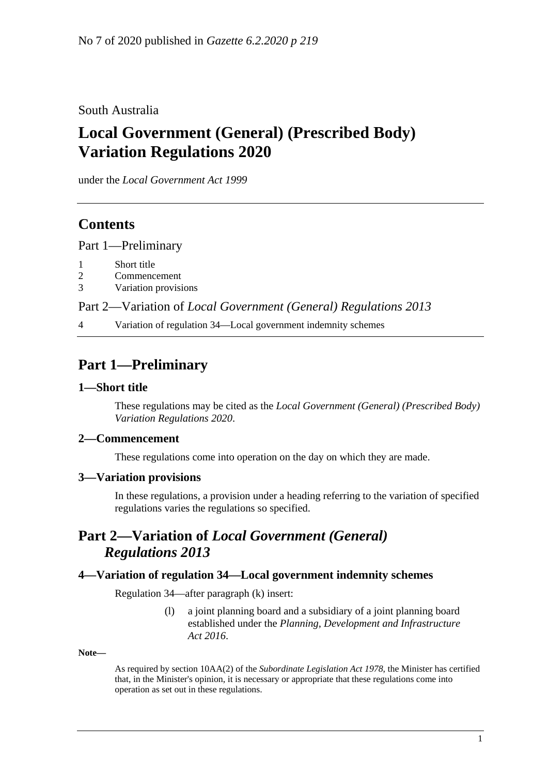### South Australia

# **Local Government (General) (Prescribed Body) Variation Regulations 2020**

under the *Local Government Act 1999*

### **Contents**

Part [1—Preliminary](#page-0-0)

- 1 [Short title](#page-0-1)
- 2 [Commencement](#page-0-2)
- 3 [Variation provisions](#page-0-3)

Part 2—Variation of *[Local Government \(General\) Regulations](#page-0-4) 2013*

4 [Variation of regulation 34—Local government indemnity schemes](#page-0-5)

## <span id="page-0-0"></span>**Part 1—Preliminary**

#### <span id="page-0-1"></span>**1—Short title**

These regulations may be cited as the *Local Government (General) (Prescribed Body) Variation Regulations 2020*.

#### <span id="page-0-2"></span>**2—Commencement**

These regulations come into operation on the day on which they are made.

#### <span id="page-0-3"></span>**3—Variation provisions**

In these regulations, a provision under a heading referring to the variation of specified regulations varies the regulations so specified.

## <span id="page-0-4"></span>**Part 2—Variation of** *Local Government (General) Regulations 2013*

#### <span id="page-0-5"></span>**4—Variation of regulation 34—Local government indemnity schemes**

Regulation 34—after paragraph (k) insert:

(l) a joint planning board and a subsidiary of a joint planning board established under the *[Planning, Development and Infrastructure](http://www.legislation.sa.gov.au/index.aspx?action=legref&type=act&legtitle=Planning%20Development%20and%20Infrastructure%20Act%202016)  Act [2016](http://www.legislation.sa.gov.au/index.aspx?action=legref&type=act&legtitle=Planning%20Development%20and%20Infrastructure%20Act%202016)*.

#### **Note—**

As required by section 10AA(2) of the *[Subordinate Legislation Act](http://www.legislation.sa.gov.au/index.aspx?action=legref&type=act&legtitle=Subordinate%20Legislation%20Act%201978) 1978*, the Minister has certified that, in the Minister's opinion, it is necessary or appropriate that these regulations come into operation as set out in these regulations.